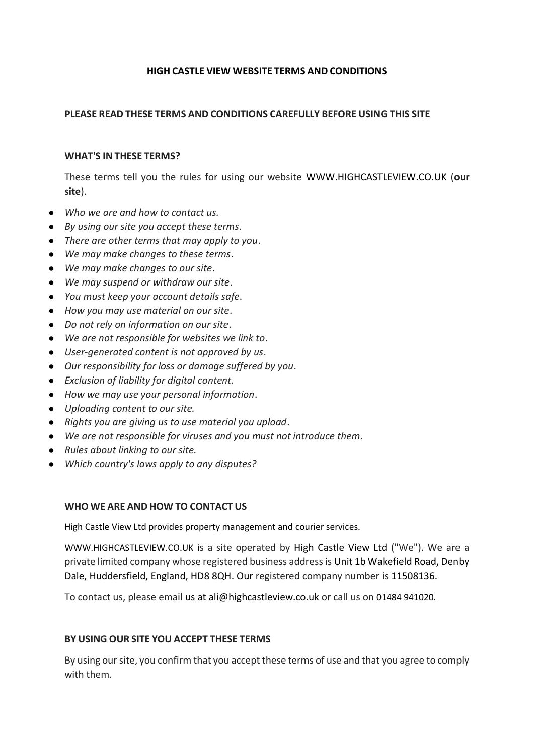## **HIGH CASTLE VIEW WEBSITE TERMS AND CONDITIONS**

### **PLEASE READ THESE TERMS AND CONDITIONS CAREFULLY BEFORE USING THIS SITE**

### **WHAT'S IN THESE TERMS?**

These terms tell you the rules for using our website WWW.HIGHCASTLEVIEW.CO.UK (**our site**).

- *Who we are and how to contact us.*
- *By using our site you accept these terms*.
- *There are other terms that may apply to you*.
- *We may make changes to these terms*.
- *We may make changes to our site*.
- *We may suspend or withdraw our site*.
- *You must keep your account details safe*.
- *How you may use material on our site*.
- *Do not rely on information on our site*.
- *We are not responsible for websites we link to*.
- *User-generated content is not approved by us*.
- *Our responsibility for loss or damage suffered by you*.
- *Exclusion of liability for digital content.*
- *How we may use your personal information*.
- *Uploading content to our site.*
- *Rights you are giving us to use material you upload*.
- *We are not responsible for viruses and you must not introduce them*.
- *Rules about linking to our site.*
- *Which country's laws apply to any disputes?*

### **WHO WE ARE AND HOW TO CONTACT US**

High Castle View Ltd provides property management and courier services.

WWW.HIGHCASTLEVIEW.CO.UK is a site operated by High Castle View Ltd ("We"). We are a private limited company whose registered business address is Unit 1b Wakefield Road, Denby Dale, Huddersfield, England, HD8 8QH. Our registered company number is 11508136.

To contact us, please email us at ali@highcastleview.co.uk or call us on 01484 941020.

### **BY USING OUR SITE YOU ACCEPT THESE TERMS**

By using our site, you confirm that you accept these terms of use and that you agree to comply with them.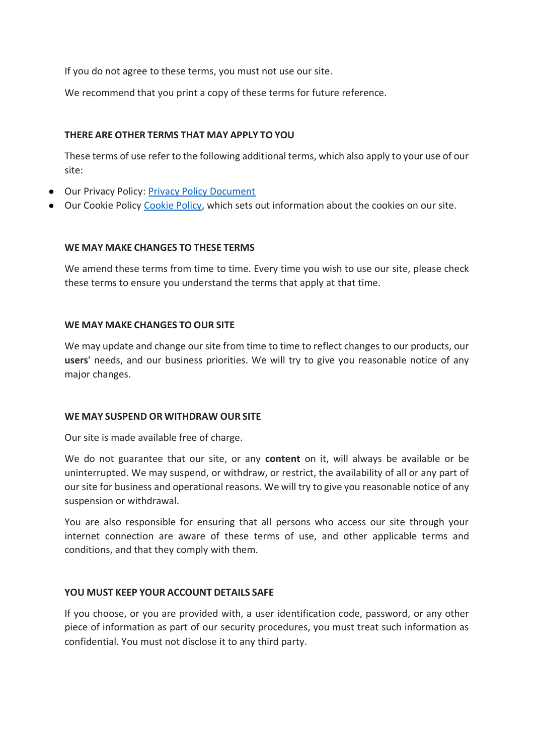If you do not agree to these terms, you must not use our site.

We recommend that you print a copy of these terms for future reference.

### **THERE ARE OTHER TERMS THAT MAY APPLY TO YOU**

These terms of use refer to the following additional terms, which also apply to your use of our site:

- Our Privacy Policy: [Privacy Policy Document](https://fbcf00e2-281d-4e64-84a2-7de8bac47552.usrfiles.com/ugd/fbcf00_b17c2bda8fd646e0aa5f2219a3ffe593.pdf)
- Our Cookie Policy [Cookie Policy,](https://fbcf00e2-281d-4e64-84a2-7de8bac47552.usrfiles.com/ugd/fbcf00_44c5ec59ebaa4a5f985b3f82c4732020.pdf) which sets out information about the cookies on our site.

### **WE MAY MAKE CHANGES TO THESE TERMS**

We amend these terms from time to time. Every time you wish to use our site, please check these terms to ensure you understand the terms that apply at that time.

### **WE MAY MAKE CHANGES TO OUR SITE**

We may update and change our site from time to time to reflect changes to our products, our **users**' needs, and our business priorities. We will try to give you reasonable notice of any major changes.

#### **WE MAY SUSPEND OR WITHDRAW OUR SITE**

Our site is made available free of charge.

We do not guarantee that our site, or any **content** on it, will always be available or be uninterrupted. We may suspend, or withdraw, or restrict, the availability of all or any part of our site for business and operational reasons. We will try to give you reasonable notice of any suspension or withdrawal.

You are also responsible for ensuring that all persons who access our site through your internet connection are aware of these terms of use, and other applicable terms and conditions, and that they comply with them.

### **YOU MUST KEEP YOUR ACCOUNT DETAILS SAFE**

If you choose, or you are provided with, a user identification code, password, or any other piece of information as part of our security procedures, you must treat such information as confidential. You must not disclose it to any third party.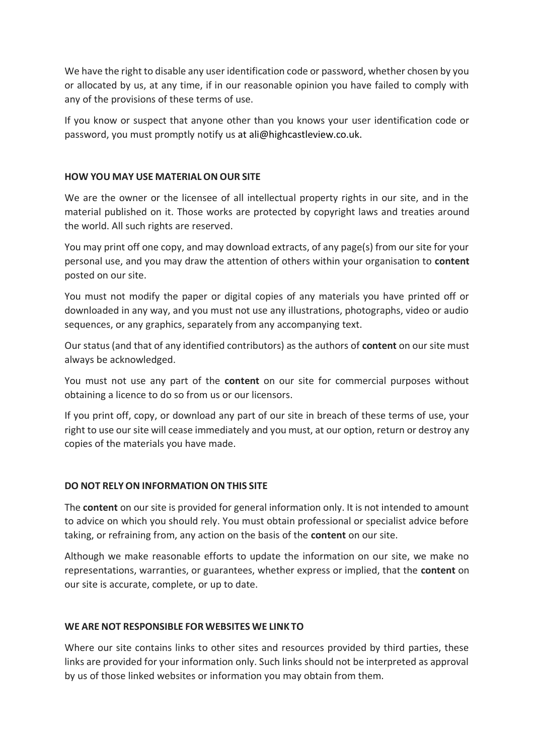We have the right to disable any user identification code or password, whether chosen by you or allocated by us, at any time, if in our reasonable opinion you have failed to comply with any of the provisions of these terms of use.

If you know or suspect that anyone other than you knows your user identification code or password, you must promptly notify us at ali@highcastleview.co.uk.

## **HOW YOU MAY USE MATERIALON OUR SITE**

We are the owner or the licensee of all intellectual property rights in our site, and in the material published on it. Those works are protected by copyright laws and treaties around the world. All such rights are reserved.

You may print off one copy, and may download extracts, of any page(s) from our site for your personal use, and you may draw the attention of others within your organisation to **content** posted on our site.

You must not modify the paper or digital copies of any materials you have printed off or downloaded in any way, and you must not use any illustrations, photographs, video or audio sequences, or any graphics, separately from any accompanying text.

Our status (and that of any identified contributors) as the authors of **content** on our site must always be acknowledged.

You must not use any part of the **content** on our site for commercial purposes without obtaining a licence to do so from us or our licensors.

If you print off, copy, or download any part of our site in breach of these terms of use, your right to use our site will cease immediately and you must, at our option, return or destroy any copies of the materials you have made.

# **DO NOT RELYON INFORMATION ON THIS SITE**

The **content** on our site is provided for general information only. It is not intended to amount to advice on which you should rely. You must obtain professional or specialist advice before taking, or refraining from, any action on the basis of the **content** on our site.

Although we make reasonable efforts to update the information on our site, we make no representations, warranties, or guarantees, whether express or implied, that the **content** on our site is accurate, complete, or up to date.

# **WE ARE NOT RESPONSIBLE FOR WEBSITES WE LINK TO**

Where our site contains links to other sites and resources provided by third parties, these links are provided for your information only. Such links should not be interpreted as approval by us of those linked websites or information you may obtain from them.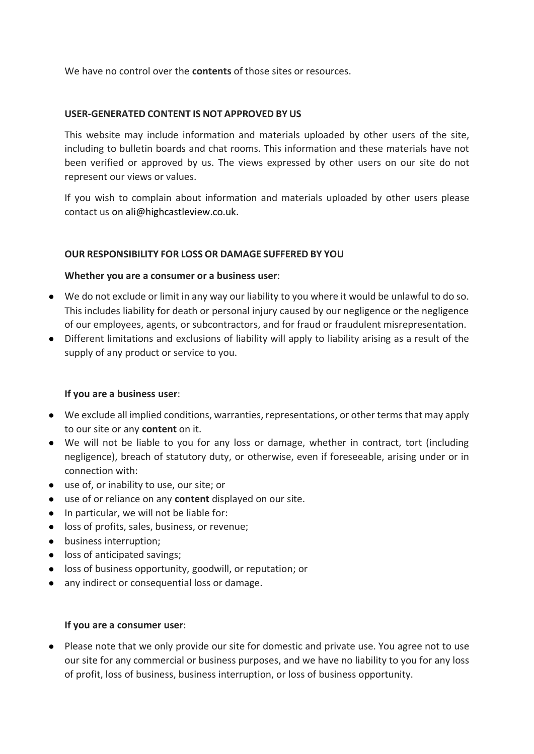We have no control over the **contents** of those sites or resources.

## **USER-GENERATED CONTENT IS NOT APPROVED BY US**

This website may include information and materials uploaded by other users of the site, including to bulletin boards and chat rooms. This information and these materials have not been verified or approved by us. The views expressed by other users on our site do not represent our views or values.

If you wish to complain about information and materials uploaded by other users please contact us on ali@highcastleview.co.uk.

## **OUR RESPONSIBILITY FOR LOSS OR DAMAGE SUFFERED BY YOU**

## **Whether you are a consumer or a business user**:

- We do not exclude or limit in any way our liability to you where it would be unlawful to do so. This includes liability for death or personal injury caused by our negligence or the negligence of our employees, agents, or subcontractors, and for fraud or fraudulent misrepresentation.
- Different limitations and exclusions of liability will apply to liability arising as a result of the supply of any product or service to you.

# **If you are a business user**:

- We exclude all implied conditions, warranties, representations, or other terms that may apply to our site or any **content** on it.
- We will not be liable to you for any loss or damage, whether in contract, tort (including negligence), breach of statutory duty, or otherwise, even if foreseeable, arising under or in connection with:
- use of, or inability to use, our site; or
- use of or reliance on any **content** displayed on our site.
- In particular, we will not be liable for:
- loss of profits, sales, business, or revenue;
- business interruption;
- loss of anticipated savings;
- loss of business opportunity, goodwill, or reputation; or
- any indirect or consequential loss or damage.

### **If you are a consumer user**:

● Please note that we only provide our site for domestic and private use. You agree not to use our site for any commercial or business purposes, and we have no liability to you for any loss of profit, loss of business, business interruption, or loss of business opportunity.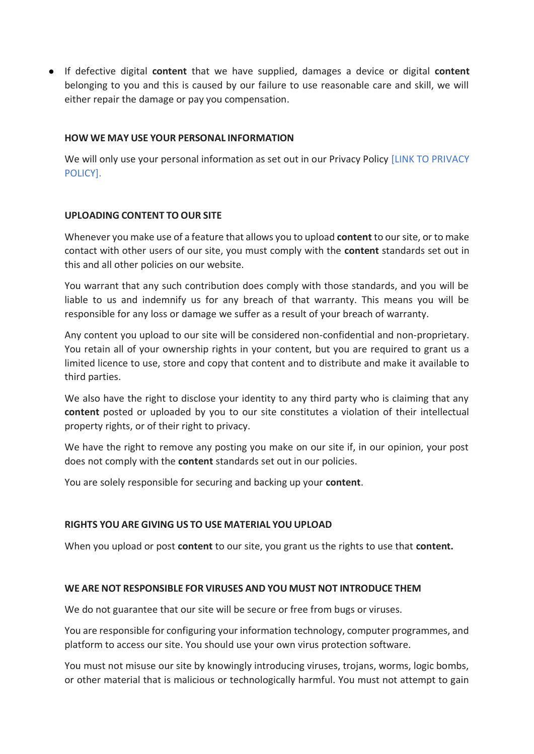● If defective digital **content** that we have supplied, damages a device or digital **content** belonging to you and this is caused by our failure to use reasonable care and skill, we will either repair the damage or pay you compensation.

## **HOW WE MAY USE YOUR PERSONAL INFORMATION**

We will only use your personal information as set out in our Privacy Policy [LINK TO PRIVACY POLICY].

## **UPLOADING CONTENT TO OUR SITE**

Whenever you make use of a feature that allows you to upload **content** to our site, or to make contact with other users of our site, you must comply with the **content** standards set out in this and all other policies on our website.

You warrant that any such contribution does comply with those standards, and you will be liable to us and indemnify us for any breach of that warranty. This means you will be responsible for any loss or damage we suffer as a result of your breach of warranty.

Any content you upload to our site will be considered non-confidential and non-proprietary. You retain all of your ownership rights in your content, but you are required to grant us a limited licence to use, store and copy that content and to distribute and make it available to third parties.

We also have the right to disclose your identity to any third party who is claiming that any **content** posted or uploaded by you to our site constitutes a violation of their intellectual property rights, or of their right to privacy.

We have the right to remove any posting you make on our site if, in our opinion, your post does not comply with the **content** standards set out in our policies.

You are solely responsible for securing and backing up your **content**.

# **RIGHTS YOU ARE GIVING US TO USE MATERIAL YOUUPLOAD**

When you upload or post **content** to our site, you grant us the rights to use that **content.**

# **WE ARE NOT RESPONSIBLE FOR VIRUSES AND YOU MUST NOT INTRODUCE THEM**

We do not guarantee that our site will be secure or free from bugs or viruses.

You are responsible for configuring your information technology, computer programmes, and platform to access our site. You should use your own virus protection software.

You must not misuse our site by knowingly introducing viruses, trojans, worms, logic bombs, or other material that is malicious or technologically harmful. You must not attempt to gain